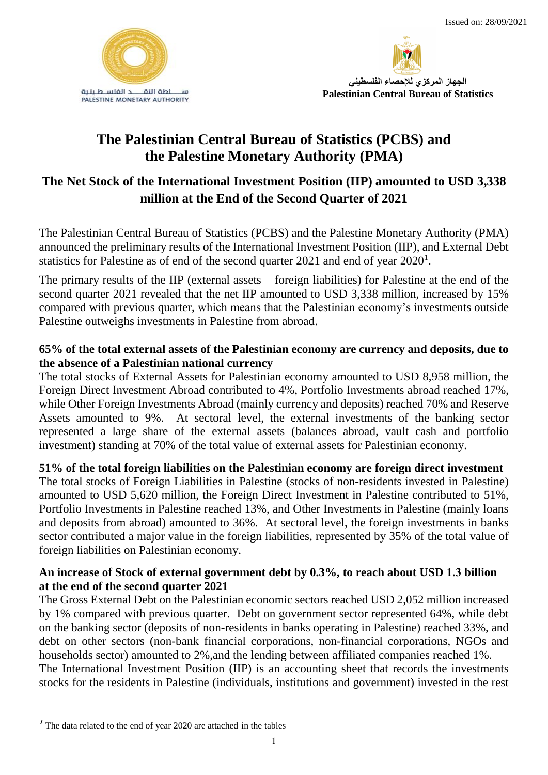



# **The Palestinian Central Bureau of Statistics (PCBS) and the Palestine Monetary Authority (PMA)**

## **The Net Stock of the International Investment Position (IIP) amounted to USD 3,338 million at the End of the Second Quarter of 2021**

The Palestinian Central Bureau of Statistics (PCBS) and the Palestine Monetary Authority (PMA) announced the preliminary results of the International Investment Position (IIP), and External Debt statistics for Palestine as of end of the second quarter  $2021$  and end of year  $2020<sup>1</sup>$ .

The primary results of the IIP (external assets – foreign liabilities) for Palestine at the end of the second quarter 2021 revealed that the net IIP amounted to USD 3,338 million, increased by 15% compared with previous quarter, which means that the Palestinian economy's investments outside Palestine outweighs investments in Palestine from abroad.

## **65% of the total external assets of the Palestinian economy are currency and deposits, due to the absence of a Palestinian national currency**

The total stocks of External Assets for Palestinian economy amounted to USD 8,958 million, the Foreign Direct Investment Abroad contributed to 4%, Portfolio Investments abroad reached 17%, while Other Foreign Investments Abroad (mainly currency and deposits) reached 70% and Reserve Assets amounted to 9%. At sectoral level, the external investments of the banking sector represented a large share of the external assets (balances abroad, vault cash and portfolio investment) standing at 70% of the total value of external assets for Palestinian economy.

**51% of the total foreign liabilities on the Palestinian economy are foreign direct investment**

The total stocks of Foreign Liabilities in Palestine (stocks of non-residents invested in Palestine) amounted to USD 5,620 million, the Foreign Direct Investment in Palestine contributed to 51%, Portfolio Investments in Palestine reached 13%, and Other Investments in Palestine (mainly loans and deposits from abroad) amounted to 36%.At sectoral level, the foreign investments in banks sector contributed a major value in the foreign liabilities, represented by 35% of the total value of foreign liabilities on Palestinian economy.

## **An increase of Stock of external government debt by 0.3%, to reach about USD 1.3 billion at the end of the second quarter 2021**

The Gross External Debt on the Palestinian economic sectors reached USD 2,052 million increased by 1% compared with previous quarter. Debt on government sector represented 64%, while debt on the banking sector (deposits of non-residents in banks operating in Palestine) reached 33%, and debt on other sectors (non-bank financial corporations, non-financial corporations, NGOs and households sector) amounted to 2%,and the lending between affiliated companies reached 1%. The International Investment Position (IIP) is an accounting sheet that records the investments stocks for the residents in Palestine (individuals, institutions and government) invested in the rest

**<sup>1</sup>** The data related to the end of year 2020 are attached in the tables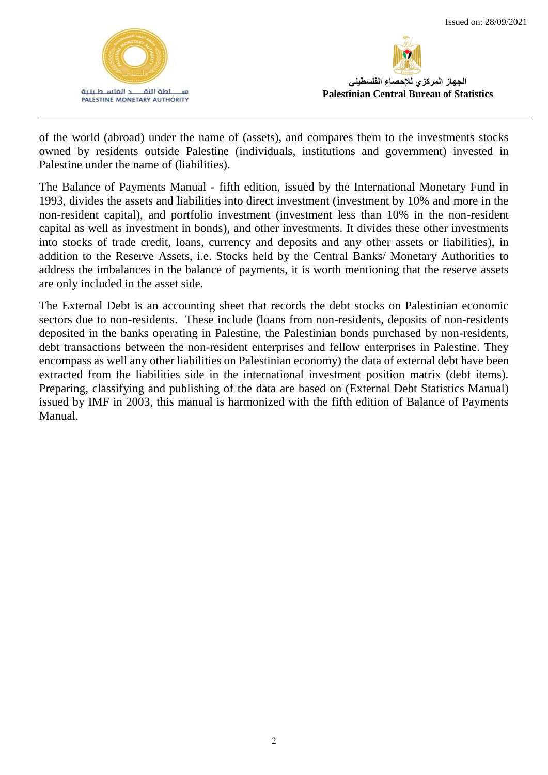



of the world (abroad) under the name of (assets), and compares them to the investments stocks owned by residents outside Palestine (individuals, institutions and government) invested in Palestine under the name of (liabilities).

The Balance of Payments Manual - fifth edition, issued by the International Monetary Fund in 1993, divides the assets and liabilities into direct investment (investment by 10% and more in the non-resident capital), and portfolio investment (investment less than 10% in the non-resident capital as well as investment in bonds), and other investments. It divides these other investments into stocks of trade credit, loans, currency and deposits and any other assets or liabilities), in addition to the Reserve Assets, i.e. Stocks held by the Central Banks/ Monetary Authorities to address the imbalances in the balance of payments, it is worth mentioning that the reserve assets are only included in the asset side.

The External Debt is an accounting sheet that records the debt stocks on Palestinian economic sectors due to non-residents. These include (loans from non-residents, deposits of non-residents deposited in the banks operating in Palestine, the Palestinian bonds purchased by non-residents, debt transactions between the non-resident enterprises and fellow enterprises in Palestine. They encompass as well any other liabilities on Palestinian economy) the data of external debt have been extracted from the liabilities side in the international investment position matrix (debt items). Preparing, classifying and publishing of the data are based on (External Debt Statistics Manual) issued by IMF in 2003, this manual is harmonized with the fifth edition of Balance of Payments Manual.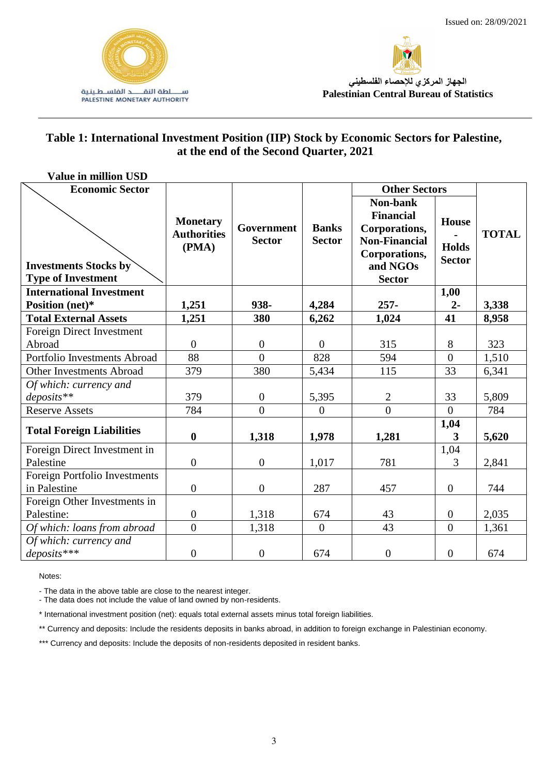



## **Table 1: International Investment Position (IIP) Stock by Economic Sectors for Palestine, at the end of the Second Quarter, 2021**

| <b>Value in million USD</b>                               |                                                |                                    |                               |                                                                                                                     |                                               |              |
|-----------------------------------------------------------|------------------------------------------------|------------------------------------|-------------------------------|---------------------------------------------------------------------------------------------------------------------|-----------------------------------------------|--------------|
| <b>Economic Sector</b>                                    |                                                |                                    |                               | <b>Other Sectors</b>                                                                                                |                                               |              |
| <b>Investments Stocks by</b><br><b>Type of Investment</b> | <b>Monetary</b><br><b>Authorities</b><br>(PMA) | <b>Government</b><br><b>Sector</b> | <b>Banks</b><br><b>Sector</b> | Non-bank<br><b>Financial</b><br>Corporations,<br><b>Non-Financial</b><br>Corporations,<br>and NGOs<br><b>Sector</b> | <b>House</b><br><b>Holds</b><br><b>Sector</b> | <b>TOTAL</b> |
| <b>International Investment</b>                           |                                                |                                    |                               |                                                                                                                     | 1,00                                          |              |
| Position (net)*                                           | 1,251                                          | 938-                               | 4,284                         | $257 -$                                                                                                             | $2 -$                                         | 3,338        |
| <b>Total External Assets</b>                              | 1,251                                          | 380                                | 6,262                         | 1,024                                                                                                               | 41                                            | 8,958        |
| Foreign Direct Investment                                 |                                                |                                    |                               |                                                                                                                     |                                               |              |
| Abroad                                                    | $\overline{0}$                                 | $\overline{0}$                     | $\Omega$                      | 315                                                                                                                 | 8                                             | 323          |
| Portfolio Investments Abroad                              | 88                                             | $\theta$                           | 828                           | 594                                                                                                                 | $\overline{0}$                                | 1,510        |
| Other Investments Abroad                                  | 379                                            | 380                                | 5,434                         | 115                                                                                                                 | 33                                            | 6,341        |
| Of which: currency and                                    |                                                |                                    |                               |                                                                                                                     |                                               |              |
| $deposits$ **                                             | 379                                            | $\overline{0}$                     | 5,395                         | $\overline{2}$                                                                                                      | 33                                            | 5,809        |
| <b>Reserve Assets</b>                                     | 784                                            | $\overline{0}$                     | $\boldsymbol{0}$              | $\overline{0}$                                                                                                      | $\overline{0}$                                | 784          |
|                                                           |                                                |                                    |                               |                                                                                                                     | 1,04                                          |              |
| <b>Total Foreign Liabilities</b>                          | $\bf{0}$                                       | 1,318                              | 1,978                         | 1,281                                                                                                               | 3                                             | 5,620        |
| Foreign Direct Investment in                              |                                                |                                    |                               |                                                                                                                     | 1,04                                          |              |
| Palestine                                                 | $\boldsymbol{0}$                               | $\mathbf{0}$                       | 1,017                         | 781                                                                                                                 | 3                                             | 2,841        |
| Foreign Portfolio Investments                             |                                                |                                    |                               |                                                                                                                     |                                               |              |
| in Palestine                                              | $\boldsymbol{0}$                               | $\overline{0}$                     | 287                           | 457                                                                                                                 | $\overline{0}$                                | 744          |
| Foreign Other Investments in                              |                                                |                                    |                               |                                                                                                                     |                                               |              |
| Palestine:                                                | $\boldsymbol{0}$                               | 1,318                              | 674                           | 43                                                                                                                  | $\overline{0}$                                | 2,035        |
| Of which: loans from abroad                               | $\overline{0}$                                 | 1,318                              | $\overline{0}$                | 43                                                                                                                  | $\overline{0}$                                | 1,361        |
| Of which: currency and                                    |                                                |                                    |                               |                                                                                                                     |                                               |              |
| $deposits***$                                             | $\boldsymbol{0}$                               | $\boldsymbol{0}$                   | 674                           | $\boldsymbol{0}$                                                                                                    | $\boldsymbol{0}$                              | 674          |

Notes:

- The data in the above table are close to the nearest integer.

- The data does not include the value of land owned by non-residents.

\* International investment position (net): equals total external assets minus total foreign liabilities.

\*\* Currency and deposits: Include the residents deposits in banks abroad, in addition to foreign exchange in Palestinian economy.

\*\*\* Currency and deposits: Include the deposits of non-residents deposited in resident banks.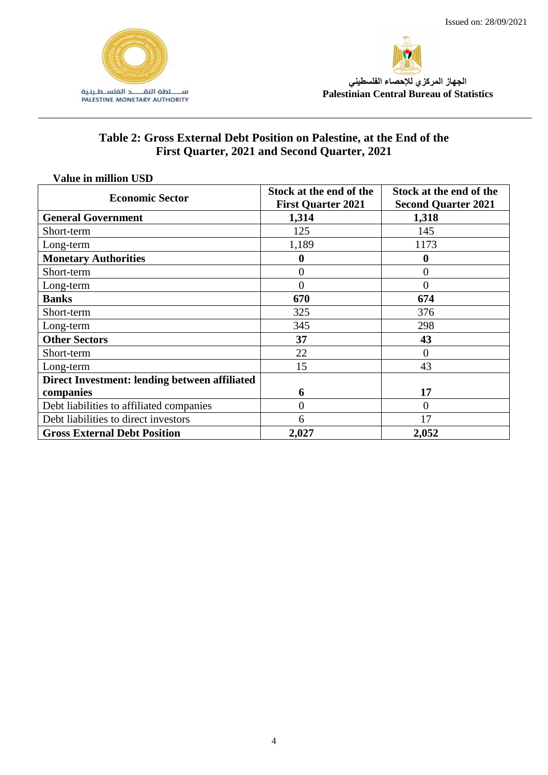



## **Table 2: Gross External Debt Position on Palestine, at the End of the First Quarter, 2021 and Second Quarter, 2021**

| <b>Value in million USD</b>                   |                                                      |                                                       |  |  |
|-----------------------------------------------|------------------------------------------------------|-------------------------------------------------------|--|--|
| <b>Economic Sector</b>                        | Stock at the end of the<br><b>First Quarter 2021</b> | Stock at the end of the<br><b>Second Quarter 2021</b> |  |  |
| <b>General Government</b>                     | 1,314                                                | 1,318                                                 |  |  |
| Short-term                                    | 125                                                  | 145                                                   |  |  |
| Long-term                                     | 1,189                                                | 1173                                                  |  |  |
| <b>Monetary Authorities</b>                   | $\boldsymbol{0}$                                     | 0                                                     |  |  |
| Short-term                                    | $\overline{0}$                                       | $\overline{0}$                                        |  |  |
| Long-term                                     | $\overline{0}$                                       | 0                                                     |  |  |
| <b>Banks</b>                                  | 670                                                  | 674                                                   |  |  |
| Short-term                                    | 325                                                  | 376                                                   |  |  |
| Long-term                                     | 345                                                  | 298                                                   |  |  |
| <b>Other Sectors</b>                          | 37                                                   | 43                                                    |  |  |
| Short-term                                    | 22                                                   | $\overline{0}$                                        |  |  |
| Long-term                                     | 15                                                   | 43                                                    |  |  |
| Direct Investment: lending between affiliated |                                                      |                                                       |  |  |
| companies                                     | 6                                                    | 17                                                    |  |  |
| Debt liabilities to affiliated companies      | $\overline{0}$                                       | $\overline{0}$                                        |  |  |
| Debt liabilities to direct investors          | 6                                                    | 17                                                    |  |  |
| <b>Gross External Debt Position</b>           | 2,027                                                | 2,052                                                 |  |  |

#### 4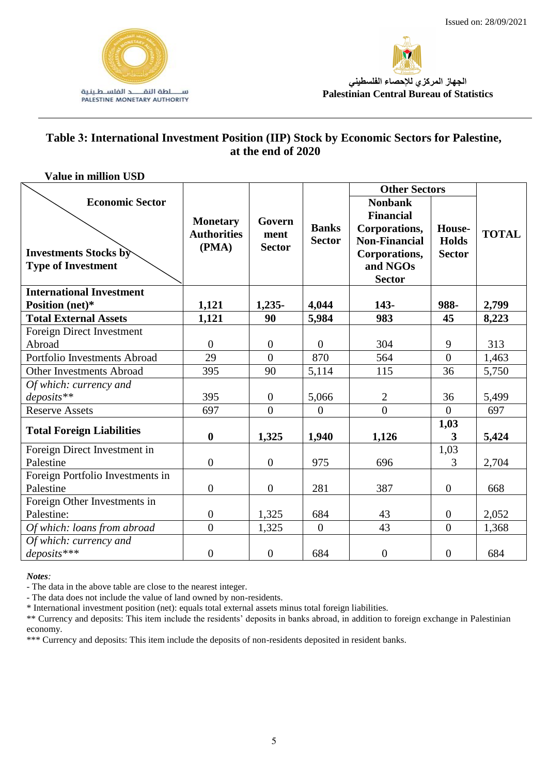



#### **Table 3: International Investment Position (IIP) Stock by Economic Sectors for Palestine, at the end of 2020**

| <b>Value in million USD</b>                                                         |                                                |                                 |                               |                                                                                                                           |                                         |              |
|-------------------------------------------------------------------------------------|------------------------------------------------|---------------------------------|-------------------------------|---------------------------------------------------------------------------------------------------------------------------|-----------------------------------------|--------------|
|                                                                                     |                                                |                                 |                               | <b>Other Sectors</b>                                                                                                      |                                         |              |
| <b>Economic Sector</b><br><b>Investments Stocks by</b><br><b>Type of Investment</b> | <b>Monetary</b><br><b>Authorities</b><br>(PMA) | Govern<br>ment<br><b>Sector</b> | <b>Banks</b><br><b>Sector</b> | <b>Nonbank</b><br><b>Financial</b><br>Corporations,<br><b>Non-Financial</b><br>Corporations,<br>and NGOs<br><b>Sector</b> | House-<br><b>Holds</b><br><b>Sector</b> | <b>TOTAL</b> |
| <b>International Investment</b>                                                     |                                                |                                 |                               |                                                                                                                           |                                         |              |
| Position (net)*                                                                     | 1,121                                          | $1,235-$                        | 4,044                         | 143-                                                                                                                      | 988-                                    | 2,799        |
| <b>Total External Assets</b>                                                        | 1,121                                          | 90                              | 5,984                         | 983                                                                                                                       | 45                                      | 8,223        |
| Foreign Direct Investment                                                           |                                                |                                 |                               |                                                                                                                           |                                         |              |
| Abroad                                                                              | $\overline{0}$                                 | $\theta$                        | $\overline{0}$                | 304                                                                                                                       | 9                                       | 313          |
| Portfolio Investments Abroad                                                        | 29                                             | $\theta$                        | 870                           | 564                                                                                                                       | $\overline{0}$                          | 1,463        |
| <b>Other Investments Abroad</b>                                                     | 395                                            | 90                              | 5,114                         | 115                                                                                                                       | 36                                      | 5,750        |
| Of which: currency and                                                              |                                                |                                 |                               |                                                                                                                           |                                         |              |
| $deposits$ **                                                                       | 395                                            | $\mathbf{0}$                    | 5,066                         | $\overline{2}$                                                                                                            | 36                                      | 5,499        |
| <b>Reserve Assets</b>                                                               | 697                                            | $\Omega$                        | $\overline{0}$                | $\overline{0}$                                                                                                            | $\Omega$                                | 697          |
| <b>Total Foreign Liabilities</b>                                                    |                                                |                                 |                               |                                                                                                                           | 1,03                                    |              |
|                                                                                     | $\boldsymbol{0}$                               | 1,325                           | 1,940                         | 1,126                                                                                                                     | 3                                       | 5,424        |
| Foreign Direct Investment in                                                        |                                                |                                 |                               |                                                                                                                           | 1,03                                    |              |
| Palestine                                                                           | $\boldsymbol{0}$                               | $\boldsymbol{0}$                | 975                           | 696                                                                                                                       | 3                                       | 2,704        |
| Foreign Portfolio Investments in                                                    |                                                |                                 |                               |                                                                                                                           |                                         |              |
| Palestine                                                                           | $\overline{0}$                                 | $\overline{0}$                  | 281                           | 387                                                                                                                       | $\overline{0}$                          | 668          |
| Foreign Other Investments in                                                        |                                                |                                 |                               |                                                                                                                           |                                         |              |
| Palestine:                                                                          | $\boldsymbol{0}$                               | 1,325                           | 684                           | 43                                                                                                                        | $\boldsymbol{0}$                        | 2,052        |
| Of which: loans from abroad                                                         | $\overline{0}$                                 | 1,325                           | $\overline{0}$                | 43                                                                                                                        | $\overline{0}$                          | 1,368        |
| Of which: currency and                                                              |                                                |                                 |                               |                                                                                                                           |                                         |              |
| $deposits***$                                                                       | $\overline{0}$                                 | $\boldsymbol{0}$                | 684                           | $\boldsymbol{0}$                                                                                                          | $\overline{0}$                          | 684          |

*Notes:* 

- The data in the above table are close to the nearest integer.

- The data does not include the value of land owned by non-residents.

\* International investment position (net): equals total external assets minus total foreign liabilities.

\*\* Currency and deposits: This item include the residents' deposits in banks abroad, in addition to foreign exchange in Palestinian economy.

\*\*\* Currency and deposits: This item include the deposits of non-residents deposited in resident banks.